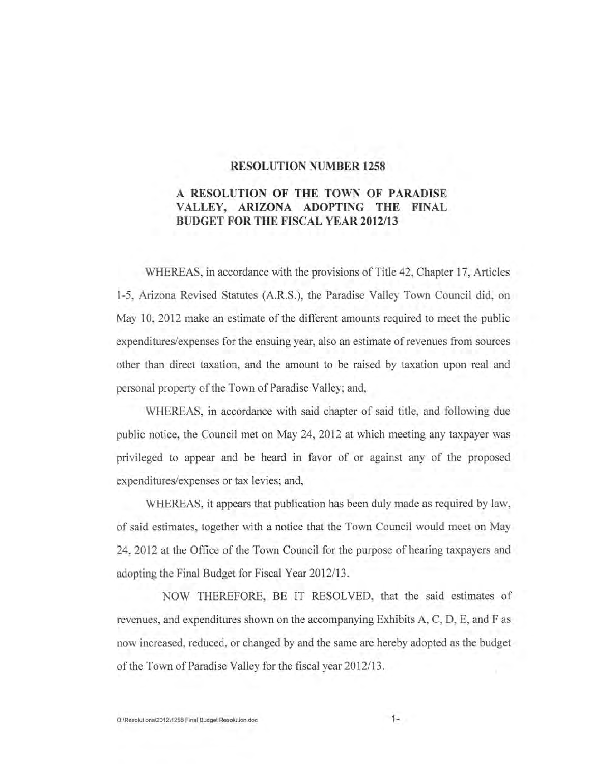### **RESOLUTION NUMBER 1258**

## A **RESOLUTION OF THE TOWN OF PARADISE V ALLEY, ARIZONA ADOPTING THE FINAL BUDGET FOR THE FISCAL YEAR 2012/13**

WHEREAS, in accordance with the provisions of Title 42, Chapter 17, Articles 1-5, Arizona Revised Statutes (A.R.S.), the Paradise Valley Town Council did, on May 10, 2012 make an estimate of the different amounts required to meet the public expenditures/expenses for the ensuing year, also an estimate of revenues from sources other than direct taxation, and the amount to be raised by taxation upon real and personal property of the Town of Paradise Valley; and,

WHEREAS, in accordance with said chapter of said title, and following due public notice, the Council met on May 24, 2012 at which meeting any taxpayer was privileged to appear and be heard in favor of or against any of the proposed expenditures/expenses or tax levies; and,

WHEREAS, it appears that publication has been duly made as required by law, of said estimates, together with a notice that the Town Council would meet on May 24,2012 at the Office of the Town Council for the purpose of hearing taxpayers and adopting the Final Budget for Fiscal Year 2012/13.

NOW THEREFORE, BE IT RESOLVED, that the said estimates of revenues, and expenditures shown on the accompanying Exhibits A, C, D, E, and F as now increased, reduced, or changed by and the same are hereby adopted as the budget of the Town of Paradise Valley for the fiscal year 2012/13.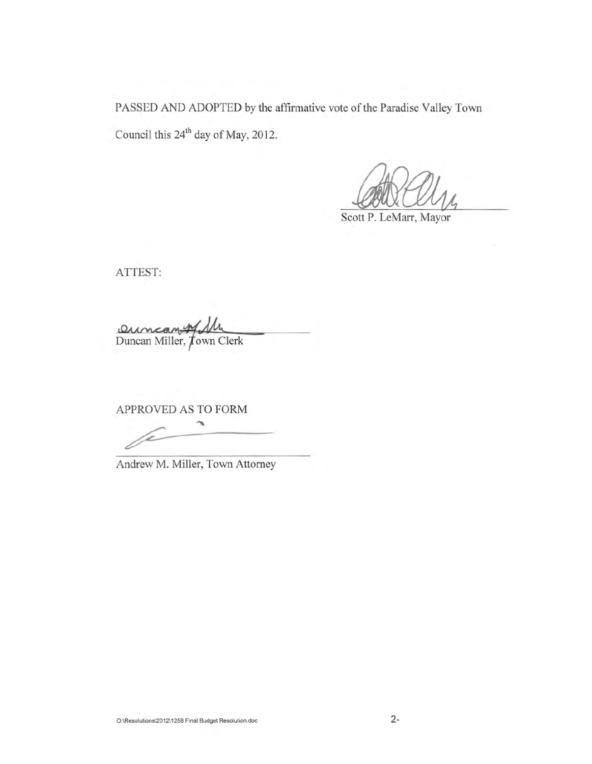PASSED AND ADOPTED by the affirmative vote of the Paradise Valley Town Council this 24<sup>th</sup> day of May, 2012.

Scott P. LeMarr, Mayor

ATTEST:

Duncan Willer, Jun Clerk

APPROVED AS TO FORM

 $\overline{\phantom{a}}$ 

Andrew M. Miller, Town Attorney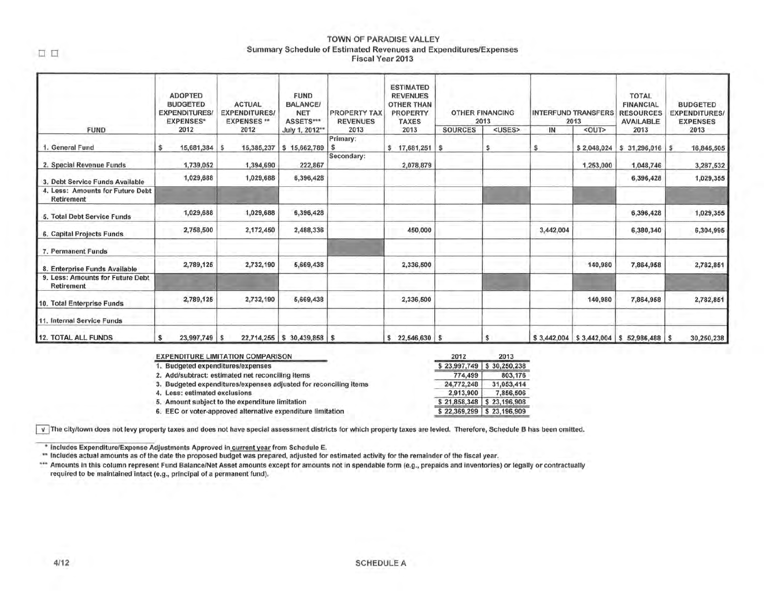#### TOWN OF PARADISE VALLEY Summary Schedule of Estimated Revenues and Expenditures/Expenses Fiscal Year 2013

|                                                       | <b>ADOPTED</b><br><b>BUDGETED</b><br><b>EXPENDITURES</b><br><b>EXPENSES*</b> | <b>ACTUAL</b><br><b>BALANCE/</b><br><b>EXPENDITURES/</b><br>ASSETS***<br><b>EXPENSES**</b> |                               | <b>PROPERTY TAX</b><br><b>REVENUES</b> | <b>ESTIMATED</b><br><b>REVENUES</b><br><b>OTHER THAN</b><br><b>PROPERTY</b><br><b>TAXES</b> |                | <b>OTHER FINANCING</b><br>2013 |           | <b>INTERFUND TRANSFERS</b><br>2013 | <b>TOTAL</b><br><b>FINANCIAL</b><br><b>RESOURCES</b><br><b>AVAILABLE</b> | <b>BUDGETED</b><br><b>EXPENDITURES</b><br><b>EXPENSES</b> |
|-------------------------------------------------------|------------------------------------------------------------------------------|--------------------------------------------------------------------------------------------|-------------------------------|----------------------------------------|---------------------------------------------------------------------------------------------|----------------|--------------------------------|-----------|------------------------------------|--------------------------------------------------------------------------|-----------------------------------------------------------|
| <b>FUND</b>                                           | 2012                                                                         | 2012                                                                                       | July 1, 2012**                | 2013                                   | 2013                                                                                        | <b>SOURCES</b> | <uses></uses>                  | IN        | <out></out>                        | 2013                                                                     | 2013                                                      |
| 1. General Fund                                       | 15,681,384<br>s                                                              | 15,385,237<br>s                                                                            | \$15,662,789                  | Primary:                               | \$17,681,251                                                                                | -S             | s                              | s         | \$2,048,024                        | \$ 31,296,016                                                            | 16,845,505                                                |
| 2. Special Revenue Funds                              | 1,739,052                                                                    | 1,394,690                                                                                  | 222,867                       | Secondary:                             | 2,078,879                                                                                   |                |                                |           | 1,253,000                          | 1,048,746                                                                | 3,287,532                                                 |
| 3. Debt Service Funds Available                       | 1,029,688                                                                    | 1,029,688                                                                                  | 6,396,428                     |                                        |                                                                                             |                |                                |           |                                    | 6,396,428                                                                | 1,029,355                                                 |
| 4. Less: Amounts for Future Debt<br><b>Retirement</b> |                                                                              |                                                                                            |                               |                                        |                                                                                             |                |                                |           |                                    |                                                                          |                                                           |
| 5. Total Debt Service Funds                           | 1,029,688                                                                    | 1,029,688                                                                                  | 6,396,428                     |                                        |                                                                                             |                |                                |           |                                    | 6,396,428                                                                | 1,029,355                                                 |
| 6. Capital Projects Funds                             | 2,758,500                                                                    | 2,172,450                                                                                  | 2,488,336                     |                                        | 450,000                                                                                     |                |                                | 3,442,004 |                                    | 6,380,340                                                                | 6,304,995                                                 |
| 7. Permanent Funds                                    |                                                                              |                                                                                            |                               |                                        |                                                                                             |                |                                |           |                                    |                                                                          |                                                           |
| 8. Enterprise Funds Available                         | 2,789,125                                                                    | 2,732,190                                                                                  | 5,669,438                     |                                        | 2,336,500                                                                                   |                |                                |           | 140,980                            | 7,864,958                                                                | 2,782,851                                                 |
| 9. Less: Amounts for Future Debt<br><b>Retirement</b> |                                                                              |                                                                                            |                               |                                        |                                                                                             |                |                                |           |                                    |                                                                          |                                                           |
| 10. Total Enterprise Funds                            | 2,789,125                                                                    | 2,732,190                                                                                  | 5,669,438                     |                                        | 2,336,500                                                                                   |                |                                |           | 140,980                            | 7,864,958                                                                | 2,782,851                                                 |
| 11. Internal Service Funds                            |                                                                              |                                                                                            |                               |                                        |                                                                                             |                |                                |           |                                    |                                                                          |                                                           |
| 12. TOTAL ALL FUNDS                                   | 23,997,749 \$<br>s                                                           |                                                                                            | $22,714,255$ \$ 30,439,858 \$ |                                        | $$22,546,630$ \$                                                                            |                | s                              |           |                                    | $$3,442,004$ $$3,442,004$ $$52,986,488$ $$$                              | 30,250,238                                                |

| <b>EXPENDITURE LIMITATION COMPARISON</b>                         | 2012       | 2013                        |
|------------------------------------------------------------------|------------|-----------------------------|
| 1. Budgeted expenditures/expenses                                |            | $$23,997,749$ $$30,250,238$ |
| 2. Add/subtract: estimated net reconciling items                 | 774,499    | 803,176                     |
| 3. Budgeted expenditures/expenses adjusted for reconciling items | 24,772,248 | 31,053,414                  |
| 4. Less: estimated exclusions                                    | 2,913,900  | 7,856,506                   |
| 5. Amount subject to the expenditure limitation                  |            | $$21,858,348$ $$23,196,908$ |
| 6. EEC or voter-approved alternative expenditure limitation      |            | \$22,369,299 \$23,196,909   |

 $\overline{V}$  The city/town does not levy property taxes and does not have special assessment districts for which property taxes are levied. Therefore, Schedule B has been omitted.

• Includes Expenditure/Expense Adjustments Approved in current year from Schedule E .

\*\* Includes actual amounts as of the date the proposed budget was prepared, adjusted for estimated activity for the remainder of the fiscal year.

\*\*\* Amounts in this column represent Fund Balance/Net Asset amounts except for amounts not in spendable form (e.g., prepaids and inventories) or legally or contractually required to be maintained intact (e.g., principal of a permanent fund).

 $\Box$   $\Box$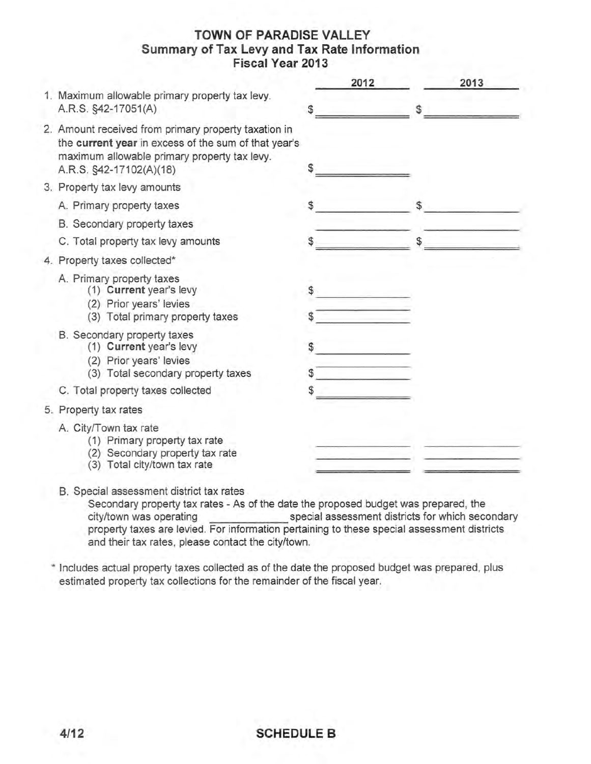# **TOWN OF PARADISE VALLEY Summary of Tax Levy and Tax Rate Information Fiscal Year 2013**

|                                                                                                                                                                                         |    | 2012 | 2013 |
|-----------------------------------------------------------------------------------------------------------------------------------------------------------------------------------------|----|------|------|
| 1. Maximum allowable primary property tax levy.<br>A.R.S. §42-17051(A)                                                                                                                  | S  |      | \$   |
| 2. Amount received from primary property taxation in<br>the current year in excess of the sum of that year's<br>maximum allowable primary property tax levy.<br>A.R.S. §42-17102(A)(18) |    |      |      |
| 3. Property tax levy amounts                                                                                                                                                            |    |      |      |
| A. Primary property taxes                                                                                                                                                               |    |      | \$   |
| B. Secondary property taxes                                                                                                                                                             |    |      |      |
| C. Total property tax levy amounts                                                                                                                                                      |    |      |      |
| 4. Property taxes collected*                                                                                                                                                            |    |      |      |
| A. Primary property taxes<br>(1) Current year's levy<br>(2) Prior years' levies<br>(3) Total primary property taxes                                                                     | \$ |      |      |
| B. Secondary property taxes<br>(1) Current year's levy<br>(2) Prior years' levies<br>(3) Total secondary property taxes                                                                 | \$ |      |      |
| C. Total property taxes collected                                                                                                                                                       |    |      |      |
| 5. Property tax rates                                                                                                                                                                   |    |      |      |
| A. City/Town tax rate<br>(1) Primary property tax rate<br>Secondary property tax rate<br>(2)<br>Total city/town tax rate<br>(3)                                                         |    |      |      |

B. Special assessment district tax rates

Secondary property tax rates - As of the date the proposed budget was prepared, the city/town was operating special assessment districts for which secondary property taxes are levied. For information pertaining to these special assessment districts and their tax rates, please contact the city/town.

\* Includes actual property taxes collected as of the date the proposed budget was prepared, plus estimated property tax collections for the remainder of the fiscal year.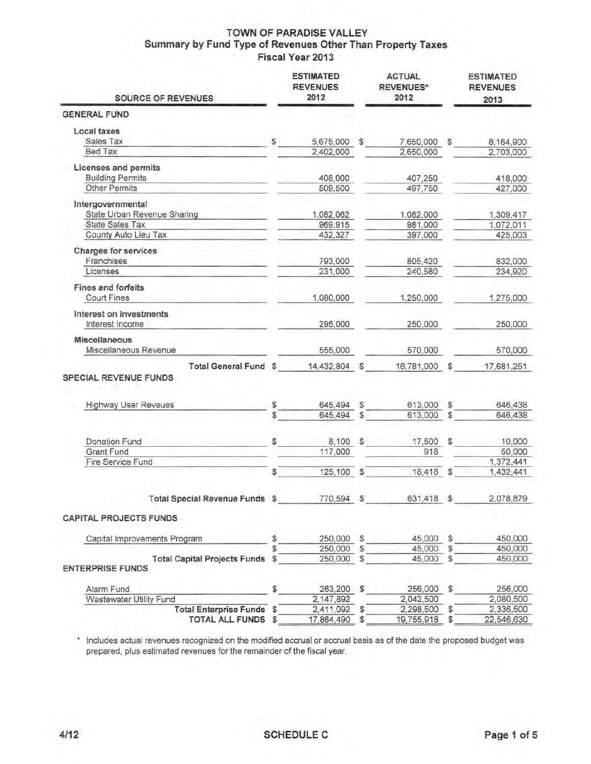### **TOWN OF PARADISE VALLEY Summary by Fund Type of Revenues Other Than Property Taxes Fiscal Year 2013**

| <b>SOURCE OF REVENUES</b>                                      |    | <b>ESTIMATED</b><br><b>REVENUES</b><br>2012 |   | <b>ACTUAL</b><br><b>REVENUES*</b><br>2012 |              | <b>ESTIMATED</b><br><b>REVENUES</b><br>2013 |
|----------------------------------------------------------------|----|---------------------------------------------|---|-------------------------------------------|--------------|---------------------------------------------|
| <b>GENERAL FUND</b>                                            |    |                                             |   |                                           |              |                                             |
| Local taxes                                                    |    |                                             |   |                                           |              |                                             |
| Sales Tax                                                      | £. | 5,675,000 \$                                |   | 7,650,000 \$                              |              | 8,164,900                                   |
| Bed Tax                                                        |    | 2,402,000                                   |   | 2,650,000                                 |              | 2,703,000                                   |
| Licenses and permits                                           |    |                                             |   |                                           |              |                                             |
| <b>Building Permits</b>                                        |    | 408,000                                     |   | 407,250                                   |              | 418,000                                     |
| Other Permits                                                  |    | 509,500                                     |   | 497,750                                   |              | 427,000                                     |
| Intergovernmental                                              |    |                                             |   |                                           |              |                                             |
| State Urban Revenue Sharing                                    |    | 1,082,062                                   |   | 1,082,000                                 |              | 1,309,417                                   |
| <b>State Sales Tax</b>                                         |    | 969,915                                     |   | 981,000                                   |              | 1,072,011                                   |
| County Auto Lieu Tax                                           |    | 432,327                                     |   | 397,000                                   |              | 425,003                                     |
| Charges for services                                           |    |                                             |   |                                           |              |                                             |
| Franchises                                                     |    | 793,000                                     |   | 805,420                                   |              | 832,000                                     |
| Licenses                                                       |    | 231,000                                     |   | 240,580                                   |              | 234,920                                     |
| <b>Fines and forfeits</b>                                      |    |                                             |   |                                           |              |                                             |
| Court Fines                                                    |    | 1,080,000                                   |   | 1,250,000                                 |              | 1,275,000                                   |
| Interest on investments<br>Interest Income                     |    | 295,000                                     |   | 250,000                                   |              | 250,000                                     |
| <b>Miscellaneous</b>                                           |    |                                             |   |                                           |              |                                             |
| Miscellaneous Revenue                                          |    | 555,000                                     |   | 570,000                                   |              | 570,000                                     |
| Total General Fund \$<br>SPECIAL REVENUE FUNDS                 |    | 14,432,804 \$                               |   | 16,781,000 \$                             |              | 17,681,251                                  |
|                                                                |    |                                             |   |                                           |              |                                             |
| <b>Highway User Reveues</b>                                    | \$ | 645,494 \$                                  |   | 613,000                                   | $\mathbb{S}$ | 646,438                                     |
|                                                                | \$ | 645,494 \$                                  |   | 613,000 \$                                |              | 646,438                                     |
|                                                                |    |                                             |   |                                           |              |                                             |
| Donation Fund                                                  |    | 8,100 \$                                    |   | 17,500 \$                                 |              | 10,000                                      |
| Grant Fund                                                     |    | 117,000                                     |   | 918                                       |              | 50,000                                      |
| Fire Service Fund                                              |    |                                             |   |                                           |              | 1,372,441                                   |
|                                                                | \$ | 125,100 \$                                  |   | 18,418 \$                                 |              | 1,432,441                                   |
|                                                                |    |                                             |   |                                           |              |                                             |
| <b>Total Special Revenue Funds</b>                             | \$ | 770,594 \$                                  |   | 631,418 \$                                |              | 2,078,879                                   |
| <b>CAPITAL PROJECTS FUNDS</b>                                  |    |                                             |   |                                           |              |                                             |
|                                                                |    |                                             |   |                                           |              |                                             |
| Capital Improvements Program                                   |    | 250,000 \$                                  |   | 45,000 \$                                 |              | 450,000                                     |
|                                                                |    | 250,000                                     | S | 45,000                                    | S            | 450,000                                     |
| <b>Total Capital Projects Funds</b><br><b>ENTERPRISE FUNDS</b> | \$ | 250,000 \$                                  |   | 45,000                                    | \$           | 450,000                                     |
| Alarm Fund                                                     | \$ | 263,200 \$                                  |   | 256,000 \$                                |              | 256,000                                     |
| Wastewater Utility Fund                                        |    | 2,147,892                                   |   | 2,042,500                                 |              | 2,080,500                                   |
| Total Enterprise Funds \$                                      |    | 2,411,092                                   |   | 2,298,500                                 |              | 2,336,500                                   |
| TOTAL ALL FUNDS \$                                             |    | 17,864,490                                  | S | 19,755,918                                | S            | 22,546,630                                  |

\* Includes actual revenues recognized on the modified accrual or accrual basis as of the date the proposed budget was prepared, plus estimated revenues for the remainder of the fiscal year.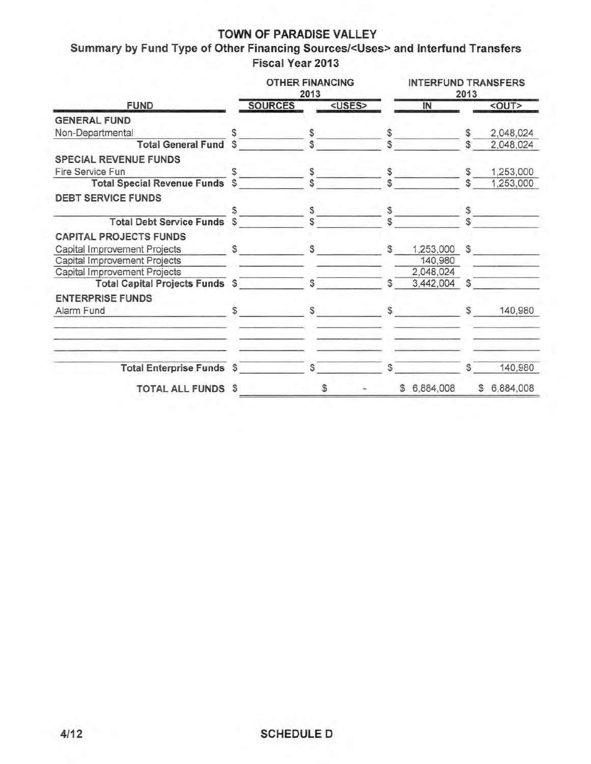## **TOWN OF PARADISE VALLEY**

**Summary by Fund Type of Other Financing Sources/<Uses> and Interfund Transfers Fiscal Year 2013** 

|                                               |              | <b>OTHER FINANCING</b> | 2013         |               |               | <b>INTERFUND TRANSFERS</b> | 2013 |              |
|-----------------------------------------------|--------------|------------------------|--------------|---------------|---------------|----------------------------|------|--------------|
| <b>FUND</b>                                   |              | <b>SOURCES</b>         |              | <uses></uses> |               | IN                         |      | <out></out>  |
| <b>GENERAL FUND</b>                           |              |                        |              |               |               |                            |      |              |
| Non-Departmental                              |              |                        |              |               | \$            |                            | S    | 2,048,024    |
| <b>Total General Fund \$</b>                  |              |                        |              |               |               |                            |      | 2,048,024    |
| <b>SPECIAL REVENUE FUNDS</b>                  |              |                        |              |               |               |                            |      |              |
| Fire Service Fun                              |              |                        |              |               |               |                            |      | 1,253,000    |
| <b>Total Special Revenue Funds</b>            | $\mathbb{S}$ |                        |              |               |               |                            |      | 1,253,000    |
| <b>DEBT SERVICE FUNDS</b>                     |              |                        |              |               |               |                            |      |              |
|                                               |              |                        | \$           |               | \$            |                            |      |              |
| <b>Total Debt Service Funds \$</b>            |              |                        |              |               |               |                            |      |              |
| <b>CAPITAL PROJECTS FUNDS</b>                 |              |                        |              |               |               |                            |      |              |
| Capital Improvement Projects<br>$\sim$ $\sim$ |              | $\mathbb{S}$           |              |               | $\mathcal{F}$ | 1,253,000                  | \$   |              |
| Capital Improvement Projects                  |              |                        |              |               |               | 140,980                    |      |              |
| Capital Improvement Projects                  |              |                        |              |               |               | 2,048,024                  |      |              |
| Total Capital Projects Funds \$ 5             |              |                        |              |               | $\mathcal{S}$ | 3,442,004 \$               |      |              |
| <b>ENTERPRISE FUNDS</b>                       |              |                        |              |               |               |                            |      |              |
| Alarm Fund                                    | \$           |                        | $\mathsf{S}$ |               | $\mathbb{S}$  |                            | S    | 140,980      |
|                                               |              |                        |              |               |               |                            |      |              |
| Total Enterprise Funds \$                     |              |                        | S.           |               | \$.           |                            | \$   | 140,980      |
| TOTAL ALL FUNDS                               | S            |                        |              |               |               | \$ 6,884,008               |      | \$ 6,884,008 |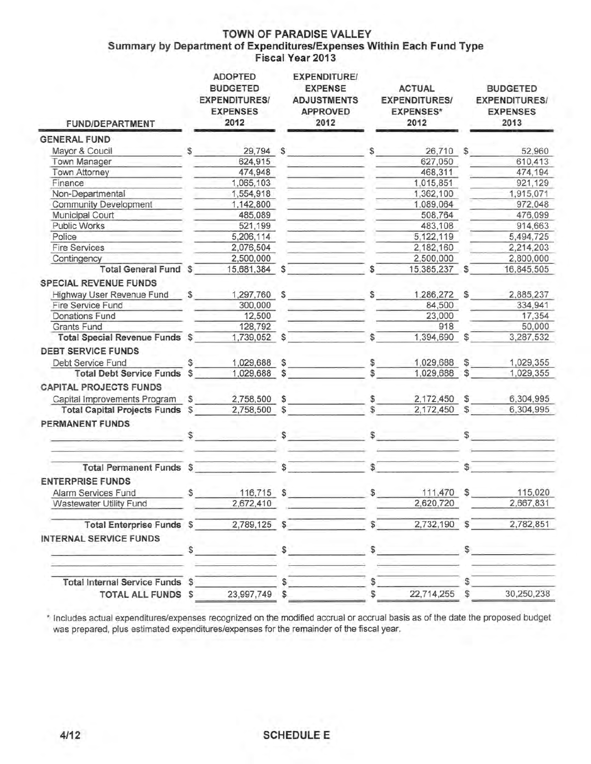### **TOWN OF PARADISE VALLEY Summary by Department of Expenditures/Expenses Within Each Fund Type Fiscal Year 2013**

| <b>FUND/DEPARTMENT</b>                                            |    | <b>ADOPTED</b><br><b>BUDGETED</b><br><b>EXPENDITURES/</b><br><b>EXPENSES</b><br>2012 |                | <b>EXPENDITURE/</b><br><b>EXPENSE</b><br><b>ADJUSTMENTS</b><br><b>APPROVED</b><br>2012 |              | <b>ACTUAL</b><br><b>EXPENDITURES/</b><br><b>EXPENSES*</b><br>2012 |                | <b>BUDGETED</b><br><b>EXPENDITURES/</b><br><b>EXPENSES</b><br>2013 |
|-------------------------------------------------------------------|----|--------------------------------------------------------------------------------------|----------------|----------------------------------------------------------------------------------------|--------------|-------------------------------------------------------------------|----------------|--------------------------------------------------------------------|
| <b>GENERAL FUND</b>                                               |    |                                                                                      |                |                                                                                        |              |                                                                   |                |                                                                    |
| Mayor & Coucil                                                    | \$ | 29,794 \$                                                                            |                |                                                                                        | \$           | 26,710 \$                                                         |                | 52,960                                                             |
| Town Manager                                                      |    | 624,915                                                                              |                |                                                                                        |              | 627,050                                                           |                | 610,413                                                            |
| Town Attorney                                                     |    | 474,948                                                                              |                |                                                                                        |              | 468,311                                                           |                | 474,194                                                            |
| Finance                                                           |    | 1,065,103                                                                            |                |                                                                                        |              | 1,015,851                                                         |                | 921,129                                                            |
| Non-Departmental                                                  |    | 1,554,918                                                                            |                |                                                                                        |              | 1,362,100                                                         |                | 1,915,071                                                          |
| <b>Community Development</b>                                      |    | 1,142,800                                                                            |                |                                                                                        |              | 1,089,064                                                         |                | 972,048                                                            |
| Municipal Court                                                   |    | 485,089                                                                              |                |                                                                                        |              | 508,764                                                           |                | 476,099                                                            |
| Public Works                                                      |    | 521,199                                                                              |                |                                                                                        |              | 483,108                                                           |                | 914,663                                                            |
| Police                                                            |    | 5,206,114                                                                            |                |                                                                                        |              | 5,122,119                                                         |                | 5,494,725                                                          |
| <b>Fire Services</b>                                              |    | 2,076,504                                                                            |                |                                                                                        |              | 2,182,160                                                         |                | 2,214,203                                                          |
| Contingency                                                       |    | 2,500,000                                                                            |                |                                                                                        |              | 2,500,000                                                         |                | 2,800,000                                                          |
| Total General Fund \$                                             |    | 15,681,384                                                                           | \$             |                                                                                        | \$           | 15,385,237                                                        | $\mathfrak{S}$ | 16,845,505                                                         |
| <b>SPECIAL REVENUE FUNDS</b>                                      |    |                                                                                      |                |                                                                                        |              |                                                                   |                |                                                                    |
| Highway User Revenue Fund \$                                      |    | 1,297,760 \$                                                                         |                |                                                                                        | S            | 1,286,272 \$                                                      |                | 2,885,237                                                          |
| Fire Service Fund                                                 |    | 300,000                                                                              |                |                                                                                        |              | 84,500                                                            |                | 334,941                                                            |
| Donations Fund                                                    |    | 12,500                                                                               |                |                                                                                        |              | 23,000                                                            |                | 17,354                                                             |
| Grants Fund                                                       |    | 128,792                                                                              |                |                                                                                        |              | 918                                                               |                | 50,000                                                             |
| Total Special Revenue Funds \$                                    |    | 1,739,052 \$                                                                         |                |                                                                                        | S            | 1,394,690                                                         | $\mathbb{S}$   | 3,287,532                                                          |
| <b>DEBT SERVICE FUNDS</b>                                         |    |                                                                                      |                |                                                                                        |              |                                                                   |                |                                                                    |
| Debt Service Fund                                                 | S  | 1,029,688                                                                            | $\mathfrak{S}$ |                                                                                        | \$           | 1,029,688                                                         | S              | 1,029,355                                                          |
| <b>Total Debt Service Funds</b>                                   |    | 1,029,688                                                                            | S              |                                                                                        | S            | 1,029,688                                                         | S              | 1,029,355                                                          |
| <b>CAPITAL PROJECTS FUNDS</b>                                     |    |                                                                                      |                |                                                                                        |              |                                                                   |                |                                                                    |
| Capital Improvements Program \$                                   |    | 2,758,500                                                                            | \$             |                                                                                        | \$           | 2,172,450                                                         | s              | 6,304,995                                                          |
| <b>Total Capital Projects Funds \$</b>                            |    | 2,758,500 \$                                                                         |                |                                                                                        |              | 2,172,450 \$                                                      |                | 6,304,995                                                          |
| <b>PERMANENT FUNDS</b>                                            | \$ |                                                                                      | \$             |                                                                                        | $\mathbb{S}$ |                                                                   |                |                                                                    |
| <b>Total Permanent Funds \$</b>                                   |    |                                                                                      | S              |                                                                                        | \$           |                                                                   | \$             |                                                                    |
| <b>ENTERPRISE FUNDS</b>                                           |    |                                                                                      |                |                                                                                        |              |                                                                   |                |                                                                    |
|                                                                   |    |                                                                                      |                |                                                                                        |              |                                                                   |                |                                                                    |
| Alarm Services Fund                                               | \$ | 116,715                                                                              | $\mathfrak s$  |                                                                                        | \$           | 111,470 \$                                                        |                | 115,020                                                            |
| Wastewater Utility Fund                                           |    | 2,672,410                                                                            |                |                                                                                        |              | 2,620,720                                                         |                | 2,667,831                                                          |
| <b>Total Enterprise Funds \$</b><br><b>INTERNAL SERVICE FUNDS</b> |    | 2,789,125                                                                            |                |                                                                                        |              | 2,732,190                                                         |                | 2,782,851                                                          |
|                                                                   | \$ |                                                                                      | \$             |                                                                                        | \$           |                                                                   | s              |                                                                    |
| Total Internal Service Funds \$                                   |    |                                                                                      |                |                                                                                        |              |                                                                   |                |                                                                    |
| <b>TOTAL ALL FUNDS \$</b>                                         |    | 23,997,749 \$                                                                        |                |                                                                                        | \$           | 22,714,255                                                        | \$             | 30,250,238                                                         |

\* Includes actual expenditures/expenses recognized on the modified accrual or accrual basis as of the date the proposed budget was prepared, plus estimated expenditures/expenses for the remainder of the fiscal year.